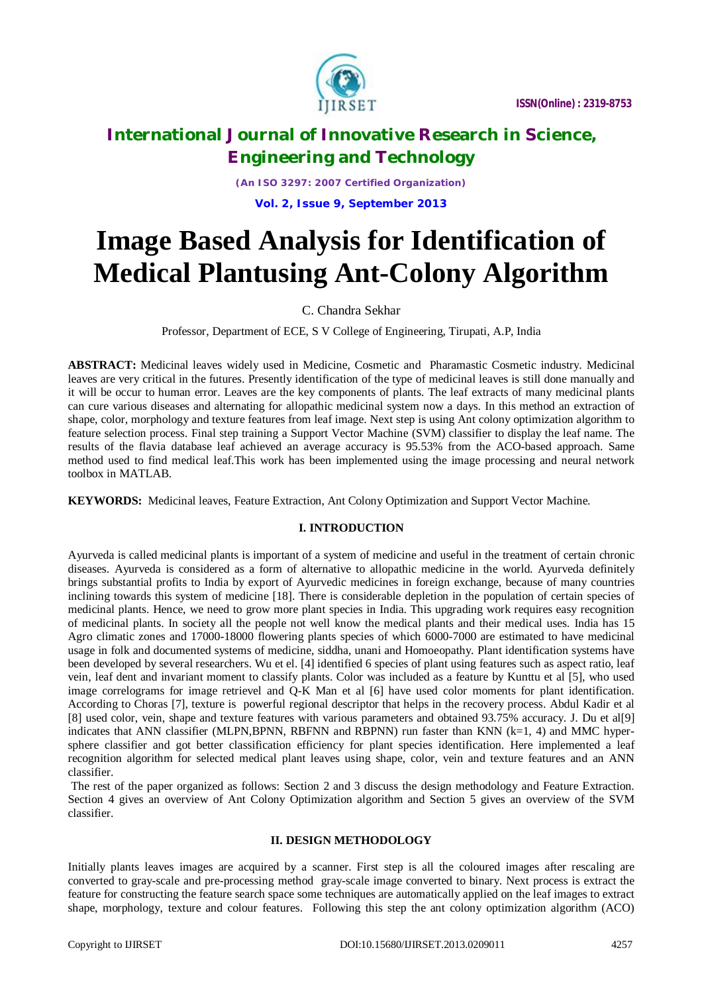

*(An ISO 3297: 2007 Certified Organization)* **Vol. 2, Issue 9, September 2013**

# **Image Based Analysis for Identification of Medical Plantusing Ant-Colony Algorithm**

# C. Chandra Sekhar

Professor, Department of ECE, S V College of Engineering, Tirupati, A.P, India

**ABSTRACT:** Medicinal leaves widely used in Medicine, Cosmetic and Pharamastic Cosmetic industry. Medicinal leaves are very critical in the futures. Presently identification of the type of medicinal leaves is still done manually and it will be occur to human error. Leaves are the key components of plants. The leaf extracts of many medicinal plants can cure various diseases and alternating for allopathic medicinal system now a days. In this method an extraction of shape, color, morphology and texture features from leaf image. Next step is using Ant colony optimization algorithm to feature selection process. Final step training a Support Vector Machine (SVM) classifier to display the leaf name. The results of the flavia database leaf achieved an average accuracy is 95.53% from the ACO-based approach. Same method used to find medical leaf.This work has been implemented using the image processing and neural network toolbox in MATLAB.

**KEYWORDS:** Medicinal leaves, Feature Extraction, Ant Colony Optimization and Support Vector Machine.

# **I. INTRODUCTION**

Ayurveda is called medicinal plants is important of a system of medicine and useful in the treatment of certain chronic diseases. Ayurveda is considered as a form of alternative to allopathic medicine in the world. Ayurveda definitely brings substantial profits to India by export of Ayurvedic medicines in foreign exchange, because of many countries inclining towards this system of medicine [18]. There is considerable depletion in the population of certain species of medicinal plants. Hence, we need to grow more plant species in India. This upgrading work requires easy recognition of medicinal plants. In society all the people not well know the medical plants and their medical uses. India has 15 Agro climatic zones and 17000-18000 flowering plants species of which 6000-7000 are estimated to have medicinal usage in folk and documented systems of medicine, siddha, unani and Homoeopathy. Plant identification systems have been developed by several researchers. Wu et el. [4] identified 6 species of plant using features such as aspect ratio, leaf vein, leaf dent and invariant moment to classify plants. Color was included as a feature by Kunttu et al [5], who used image correlograms for image retrievel and Q-K Man et al [6] have used color moments for plant identification. According to Choras [7], texture is powerful regional descriptor that helps in the recovery process. Abdul Kadir et al [8] used color, vein, shape and texture features with various parameters and obtained 93.75% accuracy. J. Du et al[9] indicates that ANN classifier (MLPN, BPNN, RBFNN and RBPNN) run faster than KNN  $(k=1, 4)$  and MMC hypersphere classifier and got better classification efficiency for plant species identification. Here implemented a leaf recognition algorithm for selected medical plant leaves using shape, color, vein and texture features and an ANN classifier.

The rest of the paper organized as follows: Section 2 and 3 discuss the design methodology and Feature Extraction. Section 4 gives an overview of Ant Colony Optimization algorithm and Section 5 gives an overview of the SVM classifier.

# **II. DESIGN METHODOLOGY**

Initially plants leaves images are acquired by a scanner. First step is all the coloured images after rescaling are converted to gray-scale and pre-processing method gray-scale image converted to binary. Next process is extract the feature for constructing the feature search space some techniques are automatically applied on the leaf images to extract shape, morphology, texture and colour features. Following this step the ant colony optimization algorithm (ACO)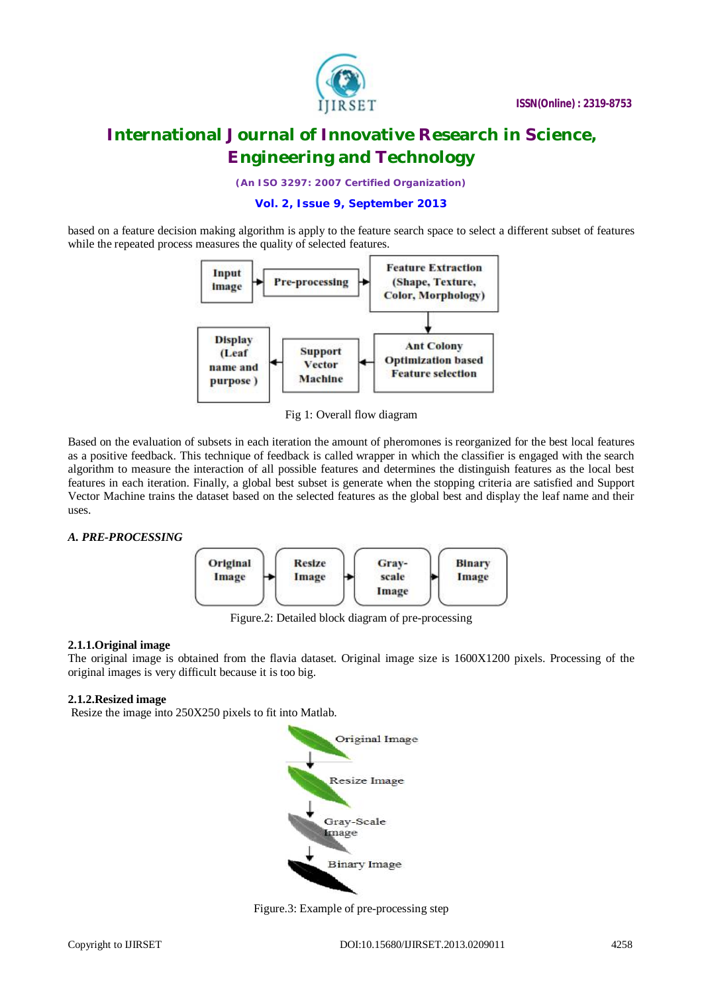

*(An ISO 3297: 2007 Certified Organization)*

### **Vol. 2, Issue 9, September 2013**

based on a feature decision making algorithm is apply to the feature search space to select a different subset of features while the repeated process measures the quality of selected features.



Fig 1: Overall flow diagram

Based on the evaluation of subsets in each iteration the amount of pheromones is reorganized for the best local features as a positive feedback. This technique of feedback is called wrapper in which the classifier is engaged with the search algorithm to measure the interaction of all possible features and determines the distinguish features as the local best features in each iteration. Finally, a global best subset is generate when the stopping criteria are satisfied and Support Vector Machine trains the dataset based on the selected features as the global best and display the leaf name and their uses.

# *A. PRE-PROCESSING*



Figure.2: Detailed block diagram of pre-processing

# **2.1.1.Original image**

The original image is obtained from the flavia dataset. Original image size is 1600X1200 pixels. Processing of the original images is very difficult because it is too big.

# **2.1.2.Resized image**

Resize the image into 250X250 pixels to fit into Matlab.



Figure.3: Example of pre-processing step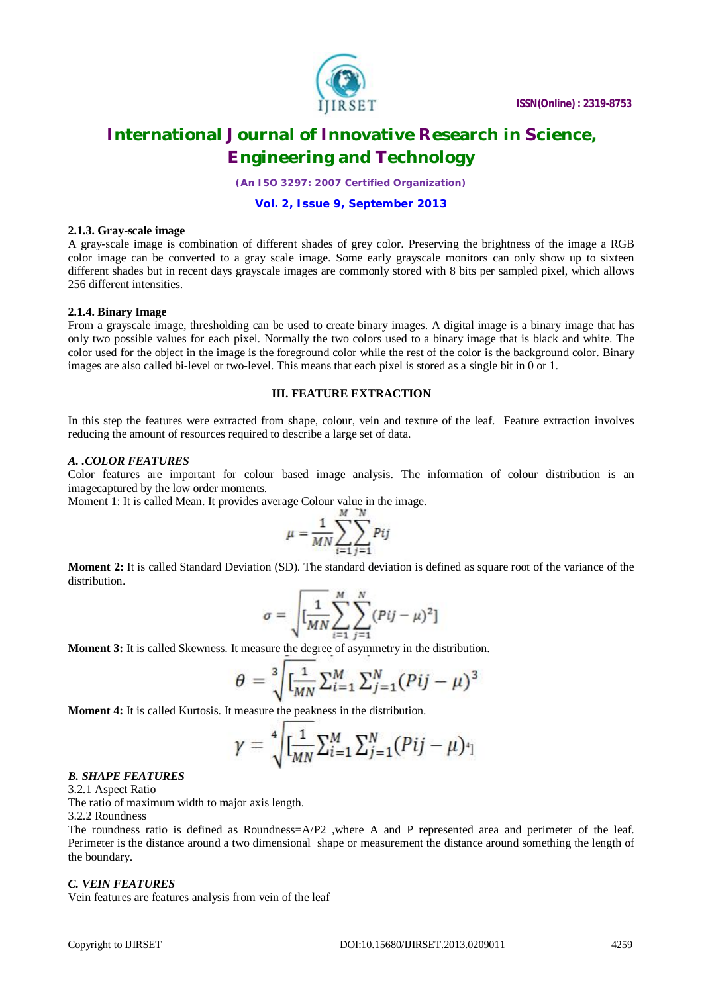

*(An ISO 3297: 2007 Certified Organization)*

#### **Vol. 2, Issue 9, September 2013**

#### **2.1.3. Gray-scale image**

A gray-scale image is combination of different shades of grey color. Preserving the brightness of the image a RGB color image can be converted to a gray scale image. Some early grayscale monitors can only show up to sixteen different shades but in recent days grayscale images are commonly stored with 8 bits per sampled pixel, which allows 256 different intensities.

#### **2.1.4. Binary Image**

From a grayscale image, thresholding can be used to create binary images. A digital image is a binary image that has only two possible values for each pixel. Normally the two colors used to a binary image that is black and white. The color used for the object in the image is the foreground color while the rest of the color is the background color. Binary images are also called bi-level or two-level. This means that each pixel is stored as a single bit in 0 or 1.

### **III. FEATURE EXTRACTION**

In this step the features were extracted from shape, colour, vein and texture of the leaf. Feature extraction involves reducing the amount of resources required to describe a large set of data.

#### *A. .COLOR FEATURES*

Color features are important for colour based image analysis. The information of colour distribution is an imagecaptured by the low order moments.

Moment 1: It is called Mean. It provides average Colour value in the image.

$$
\mu = \frac{1}{MN} \sum_{i=1}^{M} \sum_{j=1}^{N} Pij
$$

**Moment 2:** It is called Standard Deviation (SD). The standard deviation is defined as square root of the variance of the distribution.

$$
\sigma = \sqrt{\left[\frac{1}{MN}\sum_{i=1}^{M}\sum_{j=1}^{N}(Pij-\mu)^{2}\right]}
$$

**Moment 3:** It is called Skewness. It measure the degree of asymmetry in the distribution.

$$
\theta = \sqrt[3]{\left[\frac{1}{MN}\sum_{i=1}^{M}\sum_{j=1}^{N}(Pij-\mu)^{3}\right]}
$$

**Moment 4:** It is called Kurtosis. It measure the peakness in the distribution.

$$
\gamma = \sqrt[4]{[\frac{1}{MN}\sum_{i=1}^{M}\sum_{j=1}^{N}(Pij-\mu)^{4}]}
$$

#### *B. SHAPE FEATURES*

3.2.1 Aspect Ratio

The ratio of maximum width to major axis length.

3.2.2 Roundness

The roundness ratio is defined as Roundness=A/P2 ,where A and P represented area and perimeter of the leaf. Perimeter is the distance around a two dimensional shape or measurement the distance around something the length of the boundary.

#### *C. VEIN FEATURES*

Vein features are features analysis from vein of the leaf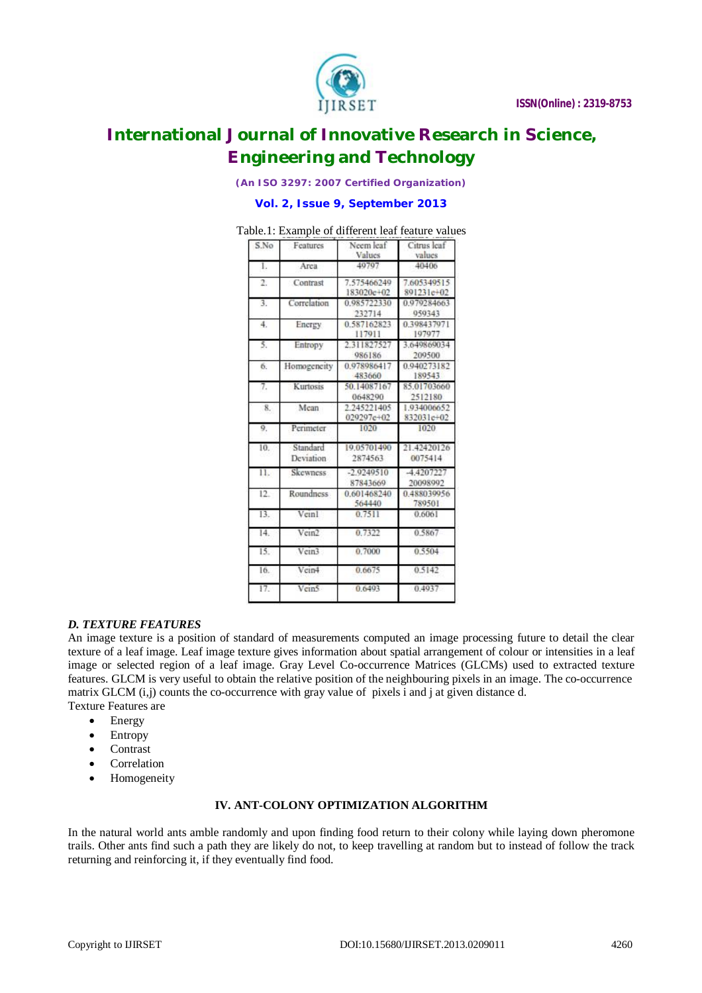

*(An ISO 3297: 2007 Certified Organization)*

#### **Vol. 2, Issue 9, September 2013**

| Table.1: Example of different leaf feature values |
|---------------------------------------------------|
|---------------------------------------------------|

| S.No             | Features              | Neem leaf<br>Values       | Citrus leaf<br>values<br>40406 |  |
|------------------|-----------------------|---------------------------|--------------------------------|--|
| L                | Area                  | 40707                     |                                |  |
| $^{2}$           | Contrast              | 7.575466249<br>183020e+02 | 7.605349515<br>891231e+02      |  |
| 3.               | Correlation           | 0.985722330<br>232714     | 0.979284663<br>050343          |  |
| $\overline{4}$ . | <b>Energy</b>         | 0.587162823<br>117911     | 0308437071<br>197977           |  |
| 5.               | Entropy               | 2.311827527<br>986186     | 3.649869034<br>209500          |  |
| б.               | Homogeneity           | 0.978986417<br>483660     | 0.940273182<br>189543          |  |
| 7.               | Kurtosis              | 50.14087167<br>0648290    | 85.01703660<br>2512180         |  |
| 8.               | Mean                  | 2.245221405<br>029297e+02 | 1.934006652<br>832031e+02      |  |
| 9.               | Perimeter             | 1020                      | 1020                           |  |
| 10.              | Standard<br>Deviation | 19.05701490<br>2874563    | 21.42420126<br>0075414         |  |
| 11.              | Skewness              | $-2.9249510$<br>87843669  | -4.4207227<br>20098992         |  |
| 12.              | <b>Roundness</b>      | 0.601468240<br>564440     | 0.488030056<br>789501          |  |
| 13.              | Veinl                 | 0.7511                    | 0.6061                         |  |
| 14.              | Vein <sub>2</sub>     | 0.7322                    | 0.5867                         |  |
| 15.              | Vein3                 | 0.7000                    | 0.5504                         |  |
| Ió.              | Vcin4                 | 0.6675                    | 0.5142                         |  |
| 17.              | Vein5                 | 0.6493                    | 0.4937                         |  |

# *D. TEXTURE FEATURES*

An image texture is a position of standard of measurements computed an image processing future to detail the clear texture of a leaf image. Leaf image texture gives information about spatial arrangement of colour or intensities in a leaf image or selected region of a leaf image. Gray Level Co-occurrence Matrices (GLCMs) used to extracted texture features. GLCM is very useful to obtain the relative position of the neighbouring pixels in an image. The co-occurrence matrix GLCM (i,j) counts the co-occurrence with gray value of pixels i and j at given distance d. Texture Features are

- Energy
- Entropy
- Contrast
- Correlation
- Homogeneity

# **IV. ANT-COLONY OPTIMIZATION ALGORITHM**

In the natural world ants amble randomly and upon finding food return to their colony while laying down pheromone trails. Other ants find such a path they are likely do not, to keep travelling at random but to instead of follow the track returning and reinforcing it, if they eventually find food.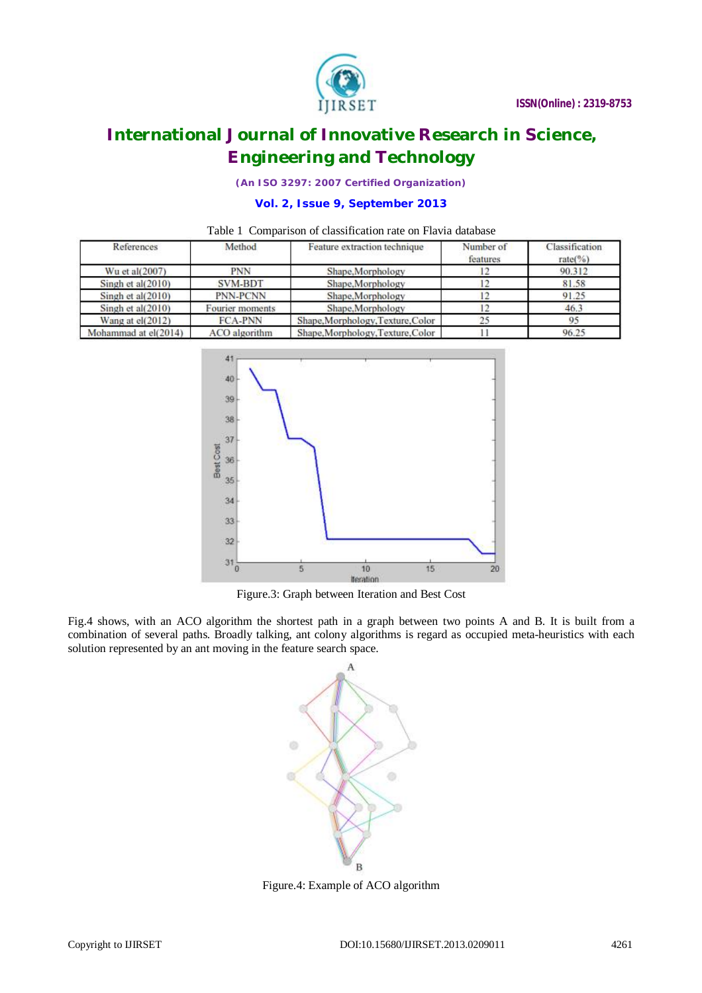

*(An ISO 3297: 2007 Certified Organization)*

# **Vol. 2, Issue 9, September 2013**

# Table 1 Comparison of classification rate on Flavia database

| References           | Method               | Feature extraction technique      | Number of<br>features | Classification<br>$rate(\%)$ |
|----------------------|----------------------|-----------------------------------|-----------------------|------------------------------|
| Wu et al(2007)       | <b>PNN</b>           | Shape, Morphology                 |                       | 90.312                       |
| Singh et $al(2010)$  | SVM-BDT              | Shape, Morphology                 |                       | 81.58                        |
| Singh et al $(2010)$ | <b>PNN-PCNN</b>      | Shape, Morphology                 |                       | 91.25                        |
| Singh et al $(2010)$ | Fourier moments      | Shape, Morphology                 |                       | 46.3                         |
| Wang at $el(2012)$   | <b>FCA-PNN</b>       | Shape, Morphology, Texture, Color | 25                    | 95                           |
| Mohammad at el(2014) | <b>ACO</b> algorithm | Shape, Morphology, Texture, Color |                       | 96.25                        |



Figure.3: Graph between Iteration and Best Cost

Fig.4 shows, with an ACO algorithm the shortest path in a graph between two points A and B. It is built from a combination of several paths. Broadly talking, ant colony algorithms is regard as occupied meta-heuristics with each solution represented by an ant moving in the feature search space.



Figure.4: Example of ACO algorithm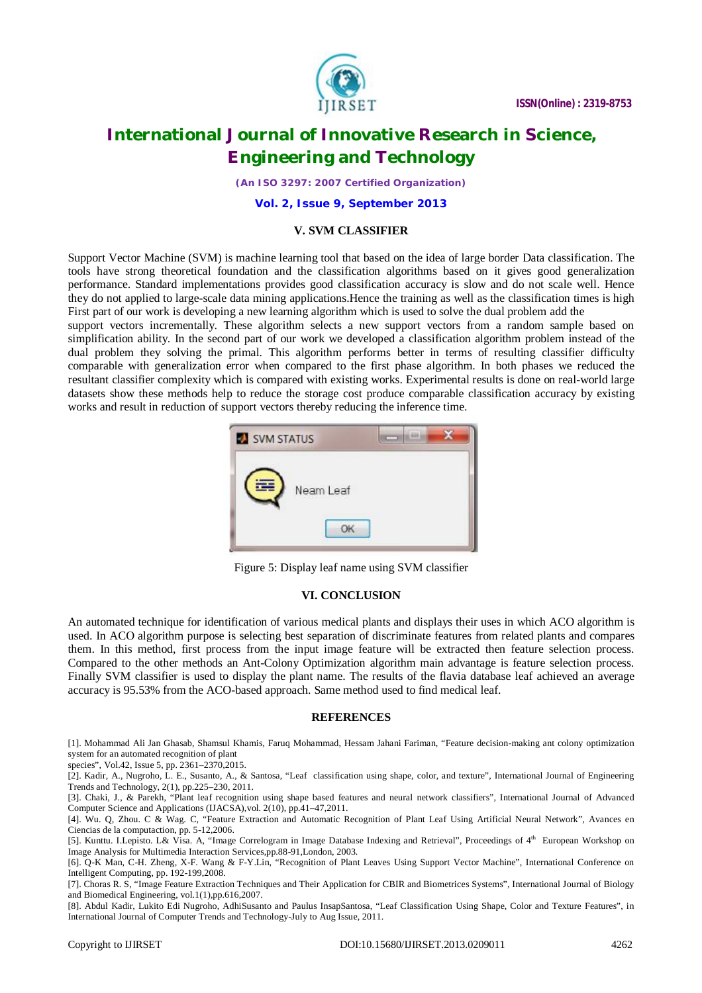

*(An ISO 3297: 2007 Certified Organization)*

**Vol. 2, Issue 9, September 2013**

#### **V. SVM CLASSIFIER**

Support Vector Machine (SVM) is machine learning tool that based on the idea of large border Data classification. The tools have strong theoretical foundation and the classification algorithms based on it gives good generalization performance. Standard implementations provides good classification accuracy is slow and do not scale well. Hence they do not applied to large-scale data mining applications.Hence the training as well as the classification times is high First part of our work is developing a new learning algorithm which is used to solve the dual problem add the

support vectors incrementally. These algorithm selects a new support vectors from a random sample based on simplification ability. In the second part of our work we developed a classification algorithm problem instead of the dual problem they solving the primal. This algorithm performs better in terms of resulting classifier difficulty comparable with generalization error when compared to the first phase algorithm. In both phases we reduced the resultant classifier complexity which is compared with existing works. Experimental results is done on real-world large datasets show these methods help to reduce the storage cost produce comparable classification accuracy by existing works and result in reduction of support vectors thereby reducing the inference time.



Figure 5: Display leaf name using SVM classifier

#### **VI. CONCLUSION**

An automated technique for identification of various medical plants and displays their uses in which ACO algorithm is used. In ACO algorithm purpose is selecting best separation of discriminate features from related plants and compares them. In this method, first process from the input image feature will be extracted then feature selection process. Compared to the other methods an Ant-Colony Optimization algorithm main advantage is feature selection process. Finally SVM classifier is used to display the plant name. The results of the flavia database leaf achieved an average accuracy is 95.53% from the ACO-based approach. Same method used to find medical leaf.

#### **REFERENCES**

[1]. Mohammad Ali Jan Ghasab, Shamsul Khamis, Faruq Mohammad, Hessam Jahani Fariman, "Feature decision-making ant colony optimization system for an automated recognition of plant

species", Vol.42, Issue 5, pp. 2361–2370,2015.

[2]. Kadir, A., Nugroho, L. E., Susanto, A., & Santosa, "Leaf classification using shape, color, and texture", International Journal of Engineering Trends and Technology, 2(1), pp.225–230, 2011.

[3]. Chaki, J., & Parekh, "Plant leaf recognition using shape based features and neural network classifiers", International Journal of Advanced Computer Science and Applications (IJACSA),vol. 2(10), pp.41–47,2011.

[4]. Wu. Q, Zhou. C & Wag. C, "Feature Extraction and Automatic Recognition of Plant Leaf Using Artificial Neural Network", Avances en Ciencias de la computaction, pp. 5-12,2006.

[5]. Kunttu. I.Lepisto. L& Visa. A, "Image Correlogram in Image Database Indexing and Retrieval", Proceedings of 4<sup>th</sup> European Workshop on Image Analysis for Multimedia Interaction Services,pp.88-91,London, 2003.

[6]. Q-K Man, C-H. Zheng, X-F. Wang & F-Y.Lin, "Recognition of Plant Leaves Using Support Vector Machine", International Conference on Intelligent Computing, pp. 192-199,2008.

[7]. Choras R. S, "Image Feature Extraction Techniques and Their Application for CBIR and Biometrices Systems", International Journal of Biology and Biomedical Engineering, vol.1(1),pp.616,2007.

[8]. Abdul Kadir, Lukito Edi Nugroho, AdhiSusanto and Paulus InsapSantosa, "Leaf Classification Using Shape, Color and Texture Features", in International Journal of Computer Trends and Technology-July to Aug Issue, 2011.